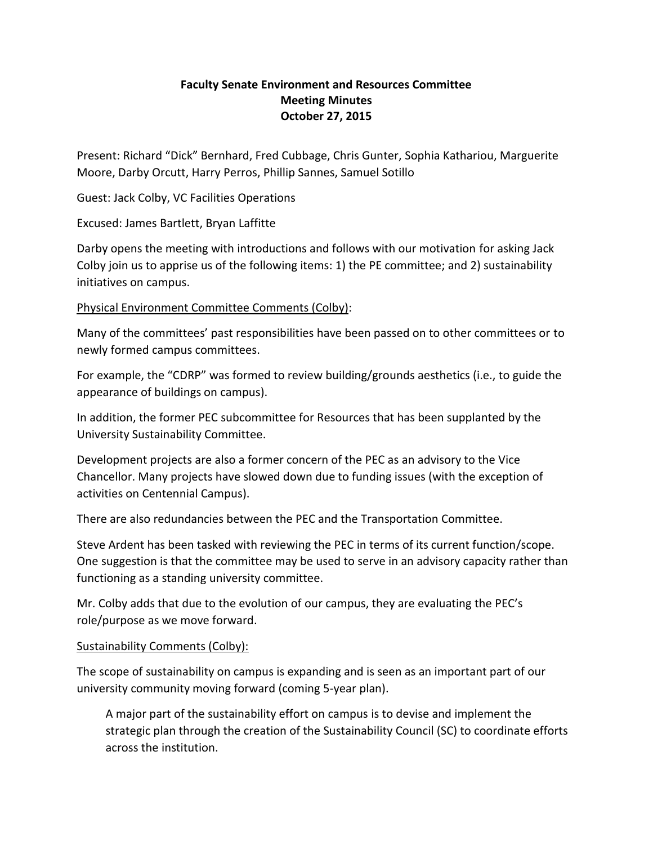## **Faculty Senate Environment and Resources Committee Meeting Minutes October 27, 2015**

Present: Richard "Dick" Bernhard, Fred Cubbage, Chris Gunter, Sophia Kathariou, Marguerite Moore, Darby Orcutt, Harry Perros, Phillip Sannes, Samuel Sotillo

Guest: Jack Colby, VC Facilities Operations

Excused: James Bartlett, Bryan Laffitte

Darby opens the meeting with introductions and follows with our motivation for asking Jack Colby join us to apprise us of the following items: 1) the PE committee; and 2) sustainability initiatives on campus.

Physical Environment Committee Comments (Colby):

Many of the committees' past responsibilities have been passed on to other committees or to newly formed campus committees.

For example, the "CDRP" was formed to review building/grounds aesthetics (i.e., to guide the appearance of buildings on campus).

In addition, the former PEC subcommittee for Resources that has been supplanted by the University Sustainability Committee.

Development projects are also a former concern of the PEC as an advisory to the Vice Chancellor. Many projects have slowed down due to funding issues (with the exception of activities on Centennial Campus).

There are also redundancies between the PEC and the Transportation Committee.

Steve Ardent has been tasked with reviewing the PEC in terms of its current function/scope. One suggestion is that the committee may be used to serve in an advisory capacity rather than functioning as a standing university committee.

Mr. Colby adds that due to the evolution of our campus, they are evaluating the PEC's role/purpose as we move forward.

## Sustainability Comments (Colby):

The scope of sustainability on campus is expanding and is seen as an important part of our university community moving forward (coming 5-year plan).

A major part of the sustainability effort on campus is to devise and implement the strategic plan through the creation of the Sustainability Council (SC) to coordinate efforts across the institution.